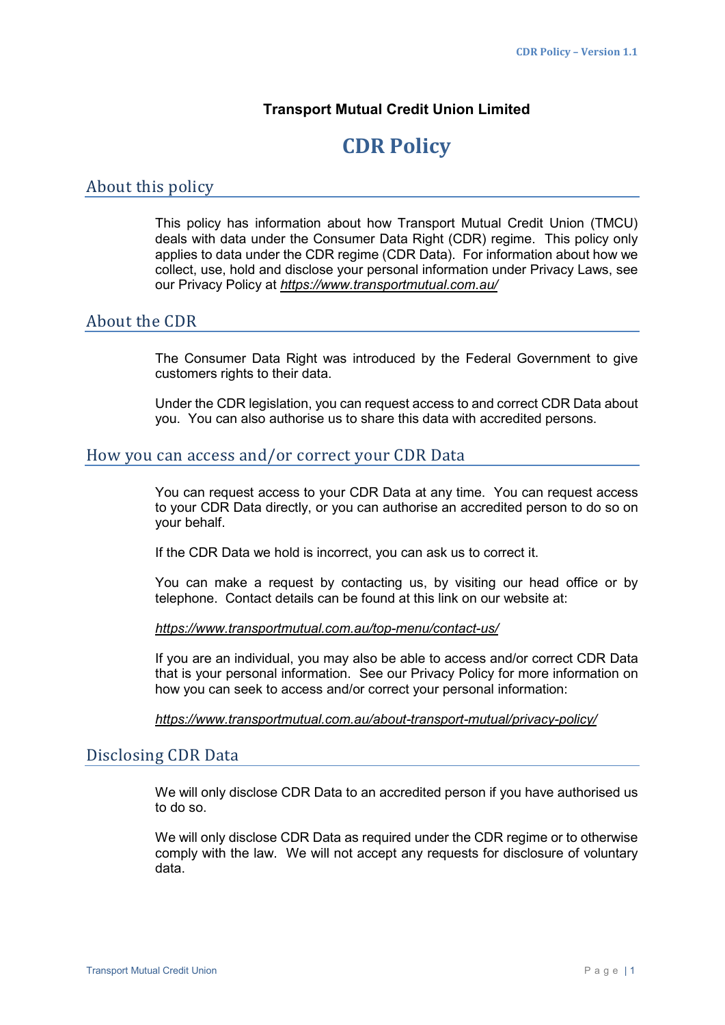## **Transport Mutual Credit Union Limited**

# **CDR Policy**

## About this policy

This policy has information about how Transport Mutual Credit Union (TMCU) deals with data under the Consumer Data Right (CDR) regime. This policy only applies to data under the CDR regime (CDR Data). For information about how we collect, use, hold and disclose your personal information under Privacy Laws, see our Privacy Policy at *https://www.transportmutual.com.au/*

## About the CDR

The Consumer Data Right was introduced by the Federal Government to give customers rights to their data.

Under the CDR legislation, you can request access to and correct CDR Data about you. You can also authorise us to share this data with accredited persons.

#### How you can access and/or correct your CDR Data

You can request access to your CDR Data at any time. You can request access to your CDR Data directly, or you can authorise an accredited person to do so on your behalf.

If the CDR Data we hold is incorrect, you can ask us to correct it.

You can make a request by contacting us, by visiting our head office or by telephone. Contact details can be found at this link on our website at:

#### *https://www.transportmutual.com.au/top-menu/contact-us/*

If you are an individual, you may also be able to access and/or correct CDR Data that is your personal information. See our Privacy Policy for more information on how you can seek to access and/or correct your personal information:

*https://www.transportmutual.com.au/about-transport-mutual/privacy-policy/* 

### Disclosing CDR Data

We will only disclose CDR Data to an accredited person if you have authorised us to do so.

We will only disclose CDR Data as required under the CDR regime or to otherwise comply with the law. We will not accept any requests for disclosure of voluntary data.